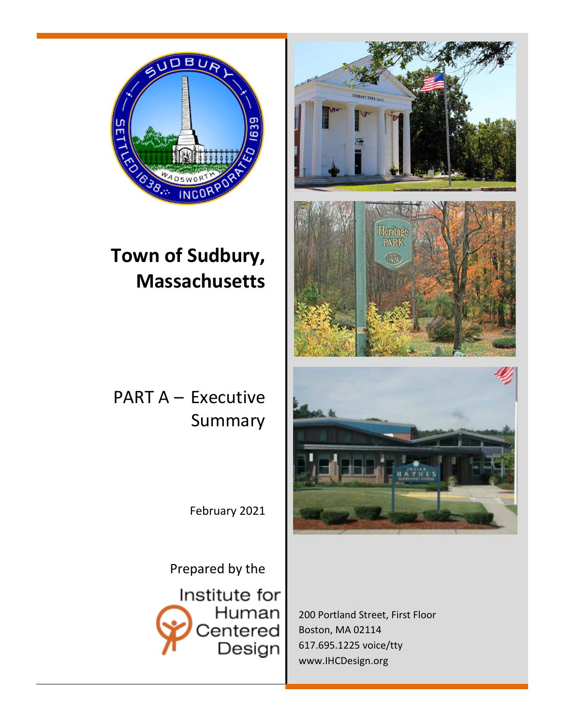

# **Town of Sudbury, Massachusetts**

# PART A – Executive Summary

February 2021

Prepared by the

Institute for Human Centered Design



200 Portland Street, First Floor Boston, MA 02114 617.695.1225 voice/tty [www.IHCDesign.org](http://www.humancentereddesign.org/)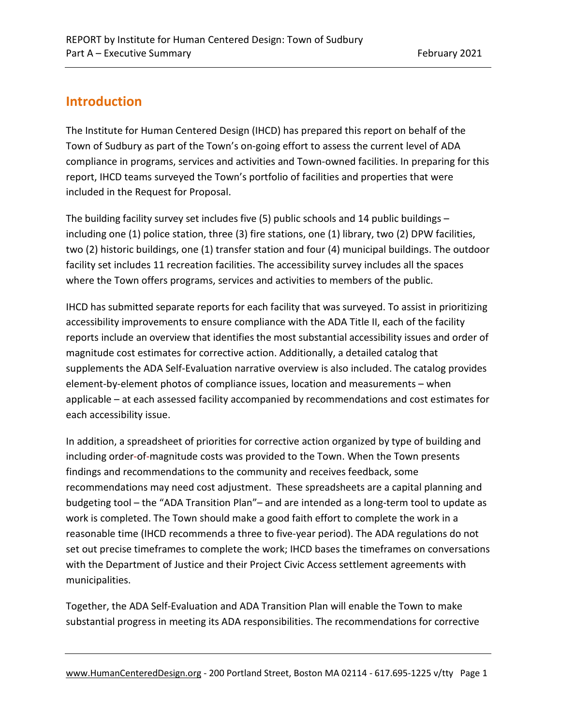## **Introduction**

The Institute for Human Centered Design (IHCD) has prepared this report on behalf of the Town of Sudbury as part of the Town's on-going effort to assess the current level of ADA compliance in programs, services and activities and Town-owned facilities. In preparing for this report, IHCD teams surveyed the Town's portfolio of facilities and properties that were included in the Request for Proposal.

The building facility survey set includes five (5) public schools and 14 public buildings – including one (1) police station, three (3) fire stations, one (1) library, two (2) DPW facilities, two (2) historic buildings, one (1) transfer station and four (4) municipal buildings. The outdoor facility set includes 11 recreation facilities. The accessibility survey includes all the spaces where the Town offers programs, services and activities to members of the public.

IHCD has submitted separate reports for each facility that was surveyed. To assist in prioritizing accessibility improvements to ensure compliance with the ADA Title II, each of the facility reports include an overview that identifies the most substantial accessibility issues and order of magnitude cost estimates for corrective action. Additionally, a detailed catalog that supplements the ADA Self-Evaluation narrative overview is also included. The catalog provides element-by-element photos of compliance issues, location and measurements – when applicable – at each assessed facility accompanied by recommendations and cost estimates for each accessibility issue.

In addition, a spreadsheet of priorities for corrective action organized by type of building and including order-of-magnitude costs was provided to the Town. When the Town presents findings and recommendations to the community and receives feedback, some recommendations may need cost adjustment. These spreadsheets are a capital planning and budgeting tool – the "ADA Transition Plan"– and are intended as a long-term tool to update as work is completed. The Town should make a good faith effort to complete the work in a reasonable time (IHCD recommends a three to five-year period). The ADA regulations do not set out precise timeframes to complete the work; IHCD bases the timeframes on conversations with the Department of Justice and their Project Civic Access settlement agreements with municipalities.

Together, the ADA Self-Evaluation and ADA Transition Plan will enable the Town to make substantial progress in meeting its ADA responsibilities. The recommendations for corrective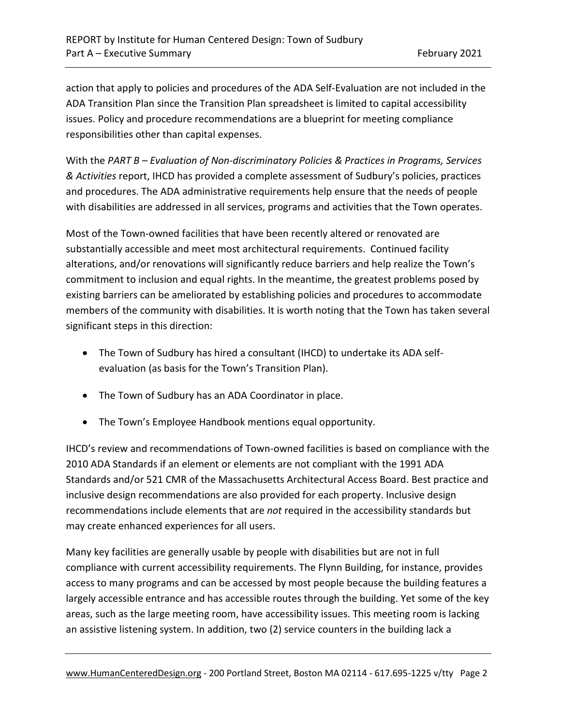action that apply to policies and procedures of the ADA Self-Evaluation are not included in the ADA Transition Plan since the Transition Plan spreadsheet is limited to capital accessibility issues. Policy and procedure recommendations are a blueprint for meeting compliance responsibilities other than capital expenses.

With the *PART B – Evaluation of Non-discriminatory Policies & Practices in Programs, Services & Activities* report, IHCD has provided a complete assessment of Sudbury's policies, practices and procedures. The ADA administrative requirements help ensure that the needs of people with disabilities are addressed in all services, programs and activities that the Town operates.

Most of the Town-owned facilities that have been recently altered or renovated are substantially accessible and meet most architectural requirements. Continued facility alterations, and/or renovations will significantly reduce barriers and help realize the Town's commitment to inclusion and equal rights. In the meantime, the greatest problems posed by existing barriers can be ameliorated by establishing policies and procedures to accommodate members of the community with disabilities. It is worth noting that the Town has taken several significant steps in this direction:

- The Town of Sudbury has hired a consultant (IHCD) to undertake its ADA selfevaluation (as basis for the Town's Transition Plan).
- The Town of Sudbury has an ADA Coordinator in place.
- The Town's Employee Handbook mentions equal opportunity.

IHCD's review and recommendations of Town-owned facilities is based on compliance with the 2010 ADA Standards if an element or elements are not compliant with the 1991 ADA Standards and/or 521 CMR of the Massachusetts Architectural Access Board. Best practice and inclusive design recommendations are also provided for each property. Inclusive design recommendations include elements that are *not* required in the accessibility standards but may create enhanced experiences for all users.

Many key facilities are generally usable by people with disabilities but are not in full compliance with current accessibility requirements. The Flynn Building, for instance, provides access to many programs and can be accessed by most people because the building features a largely accessible entrance and has accessible routes through the building. Yet some of the key areas, such as the large meeting room, have accessibility issues. This meeting room is lacking an assistive listening system. In addition, two (2) service counters in the building lack a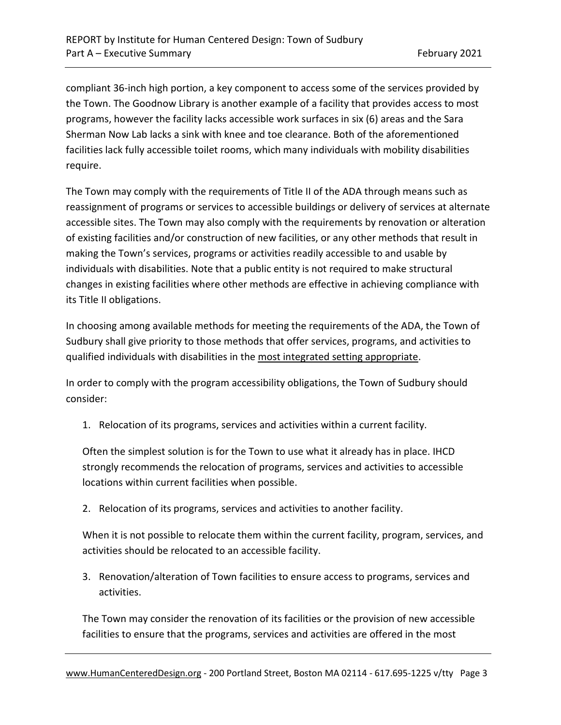compliant 36-inch high portion, a key component to access some of the services provided by the Town. The Goodnow Library is another example of a facility that provides access to most programs, however the facility lacks accessible work surfaces in six (6) areas and the Sara Sherman Now Lab lacks a sink with knee and toe clearance. Both of the aforementioned facilities lack fully accessible toilet rooms, which many individuals with mobility disabilities require.

The Town may comply with the requirements of Title II of the ADA through means such as reassignment of programs or services to accessible buildings or delivery of services at alternate accessible sites. The Town may also comply with the requirements by renovation or alteration of existing facilities and/or construction of new facilities, or any other methods that result in making the Town's services, programs or activities readily accessible to and usable by individuals with disabilities. Note that a public entity is not required to make structural changes in existing facilities where other methods are effective in achieving compliance with its Title II obligations.

In choosing among available methods for meeting the requirements of the ADA, the Town of Sudbury shall give priority to those methods that offer services, programs, and activities to qualified individuals with disabilities in the most integrated setting appropriate.

In order to comply with the program accessibility obligations, the Town of Sudbury should consider:

1. Relocation of its programs, services and activities within a current facility.

Often the simplest solution is for the Town to use what it already has in place. IHCD strongly recommends the relocation of programs, services and activities to accessible locations within current facilities when possible.

2. Relocation of its programs, services and activities to another facility.

When it is not possible to relocate them within the current facility, program, services, and activities should be relocated to an accessible facility.

3. Renovation/alteration of Town facilities to ensure access to programs, services and activities.

The Town may consider the renovation of its facilities or the provision of new accessible facilities to ensure that the programs, services and activities are offered in the most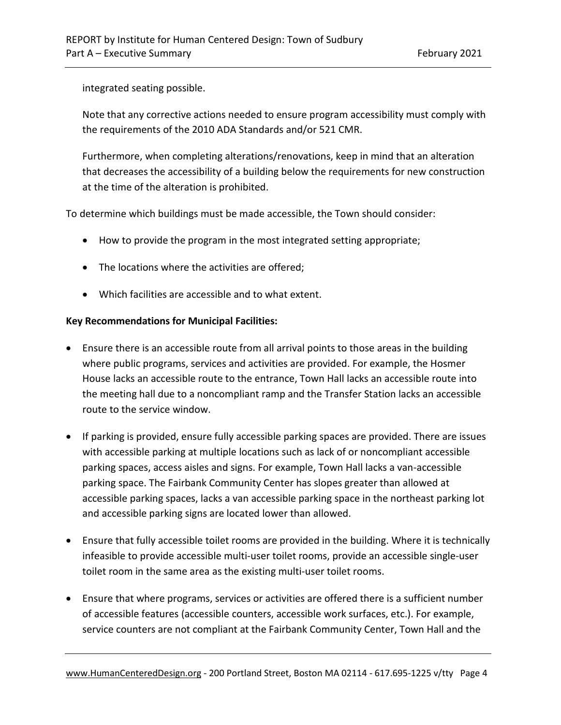integrated seating possible.

Note that any corrective actions needed to ensure program accessibility must comply with the requirements of the 2010 ADA Standards and/or 521 CMR.

Furthermore, when completing alterations/renovations, keep in mind that an alteration that decreases the accessibility of a building below the requirements for new construction at the time of the alteration is prohibited.

To determine which buildings must be made accessible, the Town should consider:

- How to provide the program in the most integrated setting appropriate;
- The locations where the activities are offered;
- Which facilities are accessible and to what extent.

#### **Key Recommendations for Municipal Facilities:**

- Ensure there is an accessible route from all arrival points to those areas in the building where public programs, services and activities are provided. For example, the Hosmer House lacks an accessible route to the entrance, Town Hall lacks an accessible route into the meeting hall due to a noncompliant ramp and the Transfer Station lacks an accessible route to the service window.
- If parking is provided, ensure fully accessible parking spaces are provided. There are issues with accessible parking at multiple locations such as lack of or noncompliant accessible parking spaces, access aisles and signs. For example, Town Hall lacks a van-accessible parking space. The Fairbank Community Center has slopes greater than allowed at accessible parking spaces, lacks a van accessible parking space in the northeast parking lot and accessible parking signs are located lower than allowed.
- Ensure that fully accessible toilet rooms are provided in the building. Where it is technically infeasible to provide accessible multi-user toilet rooms, provide an accessible single-user toilet room in the same area as the existing multi-user toilet rooms.
- Ensure that where programs, services or activities are offered there is a sufficient number of accessible features (accessible counters, accessible work surfaces, etc.). For example, service counters are not compliant at the Fairbank Community Center, Town Hall and the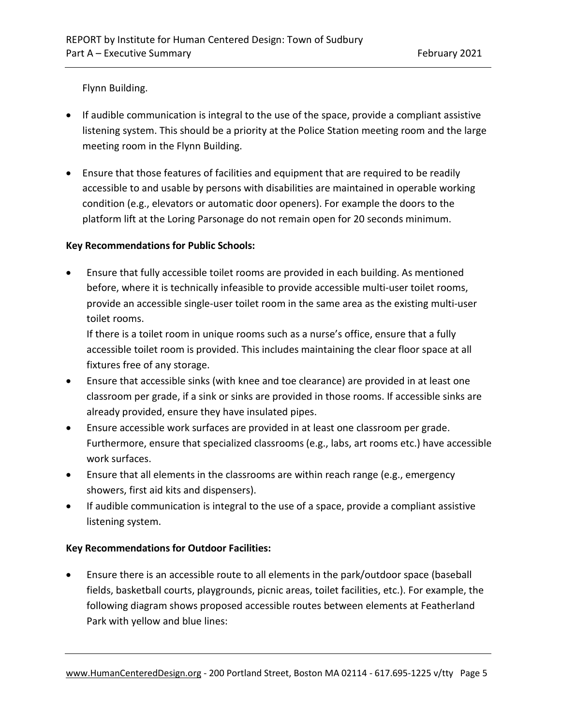Flynn Building.

- If audible communication is integral to the use of the space, provide a compliant assistive listening system. This should be a priority at the Police Station meeting room and the large meeting room in the Flynn Building.
- Ensure that those features of facilities and equipment that are required to be readily accessible to and usable by persons with disabilities are maintained in operable working condition (e.g., elevators or automatic door openers). For example the doors to the platform lift at the Loring Parsonage do not remain open for 20 seconds minimum.

### **Key Recommendations for Public Schools:**

• Ensure that fully accessible toilet rooms are provided in each building. As mentioned before, where it is technically infeasible to provide accessible multi-user toilet rooms, provide an accessible single-user toilet room in the same area as the existing multi-user toilet rooms.

If there is a toilet room in unique rooms such as a nurse's office, ensure that a fully accessible toilet room is provided. This includes maintaining the clear floor space at all fixtures free of any storage.

- Ensure that accessible sinks (with knee and toe clearance) are provided in at least one classroom per grade, if a sink or sinks are provided in those rooms. If accessible sinks are already provided, ensure they have insulated pipes.
- Ensure accessible work surfaces are provided in at least one classroom per grade. Furthermore, ensure that specialized classrooms (e.g., labs, art rooms etc.) have accessible work surfaces.
- Ensure that all elements in the classrooms are within reach range (e.g., emergency showers, first aid kits and dispensers).
- If audible communication is integral to the use of a space, provide a compliant assistive listening system.

### **Key Recommendations for Outdoor Facilities:**

• Ensure there is an accessible route to all elements in the park/outdoor space (baseball fields, basketball courts, playgrounds, picnic areas, toilet facilities, etc.). For example, the following diagram shows proposed accessible routes between elements at Featherland Park with yellow and blue lines: